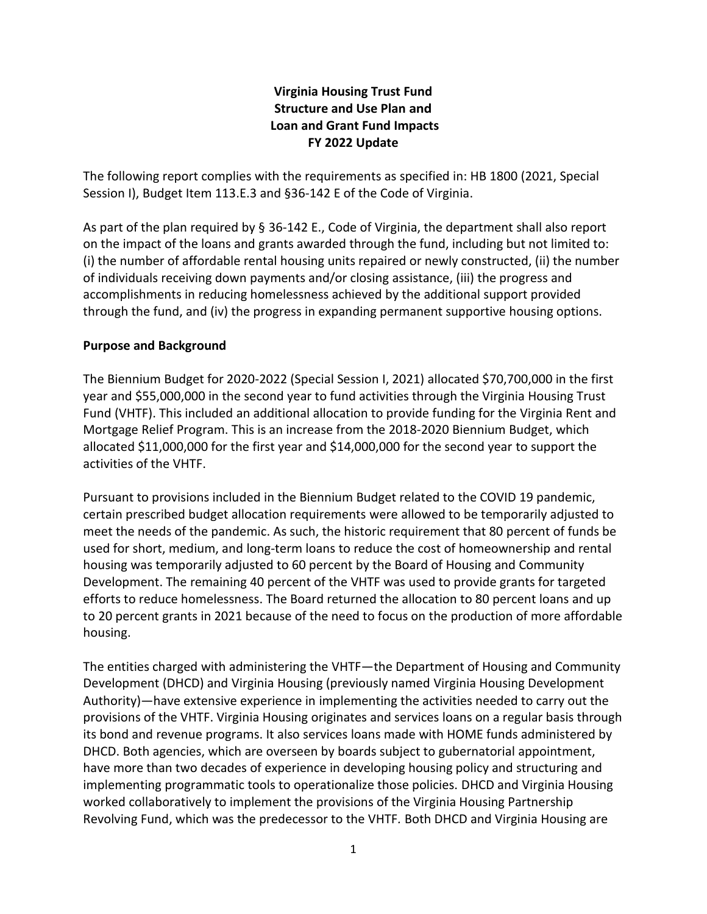# **Virginia Housing Trust Fund Structure and Use Plan and Loan and Grant Fund Impacts FY 2022 Update**

The following report complies with the requirements as specified in: HB 1800 (2021, Special Session I), Budget Item 113.E.3 and §36-142 E of the Code of Virginia.

As part of the plan required by § [36-142](http://law.lis.virginia.gov/vacode/36-142/) E., Code of Virginia, the department shall also report on the impact of the loans and grants awarded through the fund, including but not limited to: (i) the number of affordable rental housing units repaired or newly constructed, (ii) the number of individuals receiving down payments and/or closing assistance, (iii) the progress and accomplishments in reducing homelessness achieved by the additional support provided through the fund, and (iv) the progress in expanding permanent supportive housing options.

## **Purpose and Background**

The Biennium Budget for 2020-2022 (Special Session I, 2021) allocated \$70,700,000 in the first year and \$55,000,000 in the second year to fund activities through the Virginia Housing Trust Fund (VHTF). This included an additional allocation to provide funding for the Virginia Rent and Mortgage Relief Program. This is an increase from the 2018-2020 Biennium Budget, which allocated \$11,000,000 for the first year and \$14,000,000 for the second year to support the activities of the VHTF.

Pursuant to provisions included in the Biennium Budget related to the COVID 19 pandemic, certain prescribed budget allocation requirements were allowed to be temporarily adjusted to meet the needs of the pandemic. As such, the historic requirement that 80 percent of funds be used for short, medium, and long-term loans to reduce the cost of homeownership and rental housing was temporarily adjusted to 60 percent by the Board of Housing and Community Development. The remaining 40 percent of the VHTF was used to provide grants for targeted efforts to reduce homelessness. The Board returned the allocation to 80 percent loans and up to 20 percent grants in 2021 because of the need to focus on the production of more affordable housing.

The entities charged with administering the VHTF—the Department of Housing and Community Development (DHCD) and Virginia Housing (previously named Virginia Housing Development Authority)—have extensive experience in implementing the activities needed to carry out the provisions of the VHTF. Virginia Housing originates and services loans on a regular basis through its bond and revenue programs. It also services loans made with HOME funds administered by DHCD. Both agencies, which are overseen by boards subject to gubernatorial appointment, have more than two decades of experience in developing housing policy and structuring and implementing programmatic tools to operationalize those policies. DHCD and Virginia Housing worked collaboratively to implement the provisions of the Virginia Housing Partnership Revolving Fund, which was the predecessor to the VHTF*.* Both DHCD and Virginia Housing are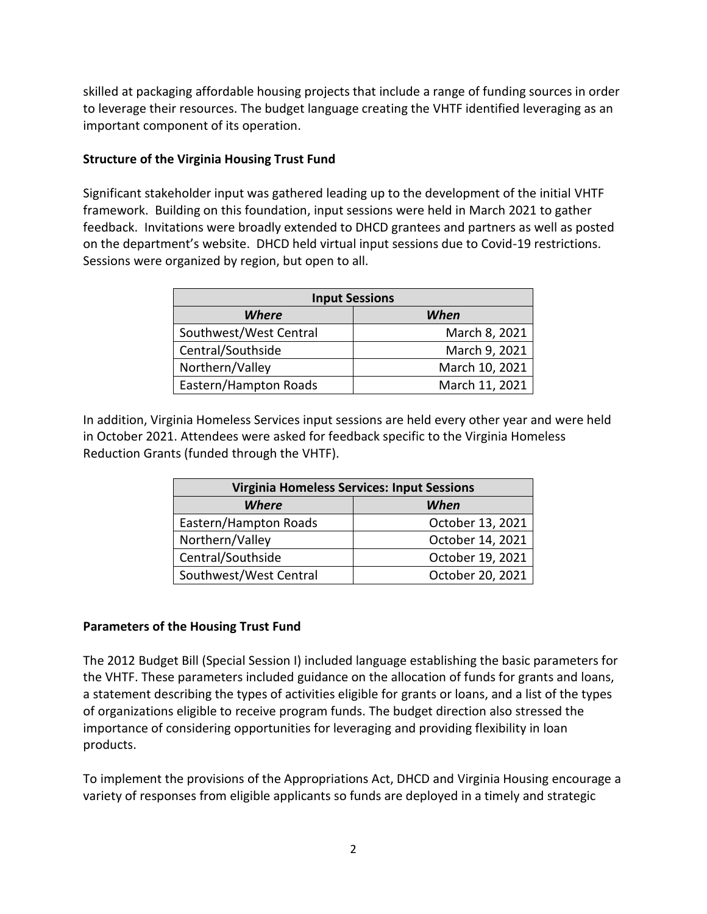skilled at packaging affordable housing projects that include a range of funding sources in order to leverage their resources. The budget language creating the VHTF identified leveraging as an important component of its operation.

### **Structure of the Virginia Housing Trust Fund**

Significant stakeholder input was gathered leading up to the development of the initial VHTF framework. Building on this foundation, input sessions were held in March 2021 to gather feedback. Invitations were broadly extended to DHCD grantees and partners as well as posted on the department's website. DHCD held virtual input sessions due to Covid-19 restrictions. Sessions were organized by region, but open to all.

| <b>Input Sessions</b>  |                |  |  |
|------------------------|----------------|--|--|
| Where<br>When          |                |  |  |
| Southwest/West Central | March 8, 2021  |  |  |
| Central/Southside      | March 9, 2021  |  |  |
| Northern/Valley        | March 10, 2021 |  |  |
| Eastern/Hampton Roads  | March 11, 2021 |  |  |

In addition, Virginia Homeless Services input sessions are held every other year and were held in October 2021. Attendees were asked for feedback specific to the Virginia Homeless Reduction Grants (funded through the VHTF).

| <b>Virginia Homeless Services: Input Sessions</b> |                  |  |  |
|---------------------------------------------------|------------------|--|--|
| Where<br>When                                     |                  |  |  |
| Eastern/Hampton Roads                             | October 13, 2021 |  |  |
| Northern/Valley                                   | October 14, 2021 |  |  |
| Central/Southside                                 | October 19, 2021 |  |  |
| Southwest/West Central                            | October 20, 2021 |  |  |

#### **Parameters of the Housing Trust Fund**

The 2012 Budget Bill (Special Session I) included language establishing the basic parameters for the VHTF. These parameters included guidance on the allocation of funds for grants and loans, a statement describing the types of activities eligible for grants or loans, and a list of the types of organizations eligible to receive program funds. The budget direction also stressed the importance of considering opportunities for leveraging and providing flexibility in loan products.

To implement the provisions of the Appropriations Act, DHCD and Virginia Housing encourage a variety of responses from eligible applicants so funds are deployed in a timely and strategic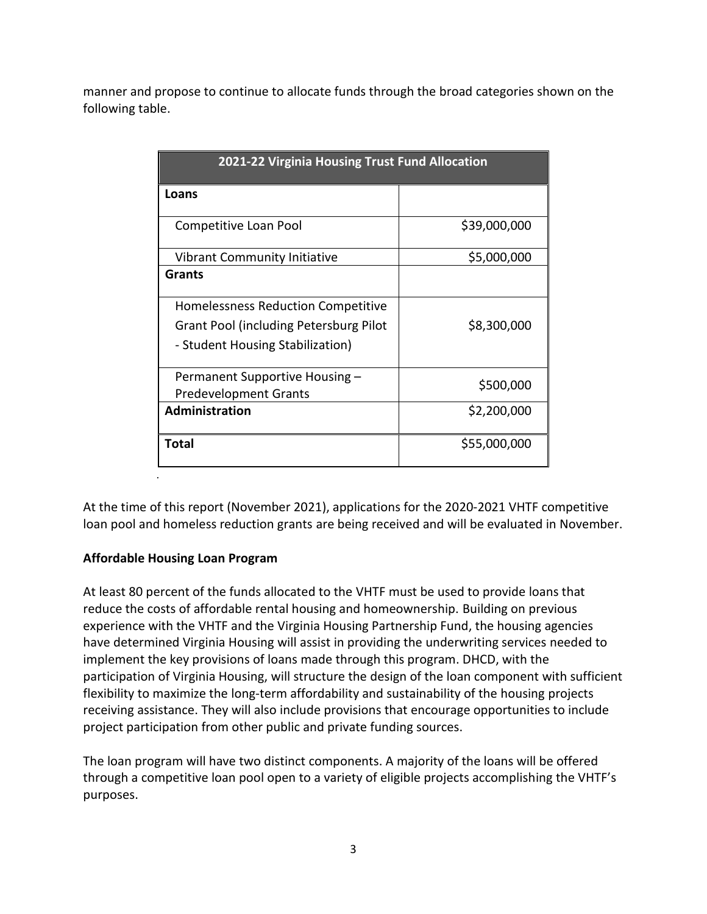manner and propose to continue to allocate funds through the broad categories shown on the following table.

| 2021-22 Virginia Housing Trust Fund Allocation |              |  |  |
|------------------------------------------------|--------------|--|--|
| Loans                                          |              |  |  |
| Competitive Loan Pool                          | \$39,000,000 |  |  |
| Vibrant Community Initiative                   | \$5,000,000  |  |  |
| <b>Grants</b>                                  |              |  |  |
| Homelessness Reduction Competitive             |              |  |  |
| Grant Pool (including Petersburg Pilot         | \$8,300,000  |  |  |
| - Student Housing Stabilization)               |              |  |  |
| Permanent Supportive Housing -                 | \$500,000    |  |  |
| <b>Predevelopment Grants</b>                   |              |  |  |
| <b>Administration</b>                          | \$2,200,000  |  |  |
| Total                                          | \$55,000,000 |  |  |

At the time of this report (November 2021), applications for the 2020-2021 VHTF competitive loan pool and homeless reduction grants are being received and will be evaluated in November.

## **Affordable Housing Loan Program**

.

At least 80 percent of the funds allocated to the VHTF must be used to provide loans that reduce the costs of affordable rental housing and homeownership. Building on previous experience with the VHTF and the Virginia Housing Partnership Fund, the housing agencies have determined Virginia Housing will assist in providing the underwriting services needed to implement the key provisions of loans made through this program. DHCD, with the participation of Virginia Housing, will structure the design of the loan component with sufficient flexibility to maximize the long-term affordability and sustainability of the housing projects receiving assistance. They will also include provisions that encourage opportunities to include project participation from other public and private funding sources.

The loan program will have two distinct components. A majority of the loans will be offered through a competitive loan pool open to a variety of eligible projects accomplishing the VHTF's purposes.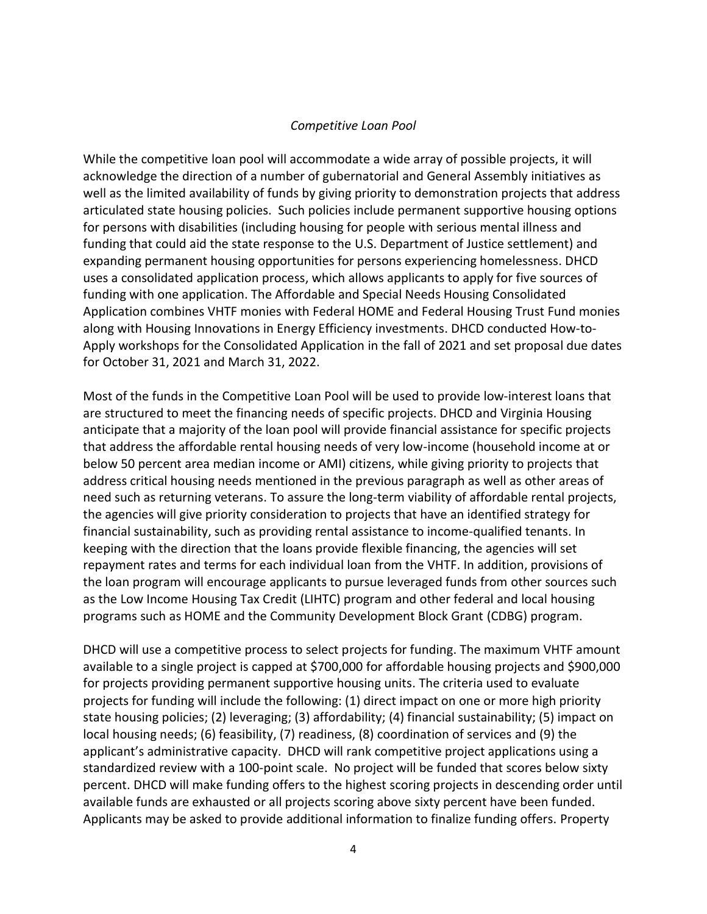#### *Competitive Loan Pool*

While the competitive loan pool will accommodate a wide array of possible projects, it will acknowledge the direction of a number of gubernatorial and General Assembly initiatives as well as the limited availability of funds by giving priority to demonstration projects that address articulated state housing policies. Such policies include permanent supportive housing options for persons with disabilities (including housing for people with serious mental illness and funding that could aid the state response to the U.S. Department of Justice settlement) and expanding permanent housing opportunities for persons experiencing homelessness. DHCD uses a consolidated application process, which allows applicants to apply for five sources of funding with one application. The Affordable and Special Needs Housing Consolidated Application combines VHTF monies with Federal HOME and Federal Housing Trust Fund monies along with Housing Innovations in Energy Efficiency investments. DHCD conducted How-to-Apply workshops for the Consolidated Application in the fall of 2021 and set proposal due dates for October 31, 2021 and March 31, 2022.

Most of the funds in the Competitive Loan Pool will be used to provide low-interest loans that are structured to meet the financing needs of specific projects. DHCD and Virginia Housing anticipate that a majority of the loan pool will provide financial assistance for specific projects that address the affordable rental housing needs of very low-income (household income at or below 50 percent area median income or AMI) citizens, while giving priority to projects that address critical housing needs mentioned in the previous paragraph as well as other areas of need such as returning veterans. To assure the long-term viability of affordable rental projects, the agencies will give priority consideration to projects that have an identified strategy for financial sustainability, such as providing rental assistance to income-qualified tenants. In keeping with the direction that the loans provide flexible financing, the agencies will set repayment rates and terms for each individual loan from the VHTF. In addition, provisions of the loan program will encourage applicants to pursue leveraged funds from other sources such as the Low Income Housing Tax Credit (LIHTC) program and other federal and local housing programs such as HOME and the Community Development Block Grant (CDBG) program.

DHCD will use a competitive process to select projects for funding. The maximum VHTF amount available to a single project is capped at \$700,000 for affordable housing projects and \$900,000 for projects providing permanent supportive housing units. The criteria used to evaluate projects for funding will include the following: (1) direct impact on one or more high priority state housing policies; (2) leveraging; (3) affordability; (4) financial sustainability; (5) impact on local housing needs; (6) feasibility, (7) readiness, (8) coordination of services and (9) the applicant's administrative capacity. DHCD will rank competitive project applications using a standardized review with a 100-point scale. No project will be funded that scores below sixty percent. DHCD will make funding offers to the highest scoring projects in descending order until available funds are exhausted or all projects scoring above sixty percent have been funded. Applicants may be asked to provide additional information to finalize funding offers. Property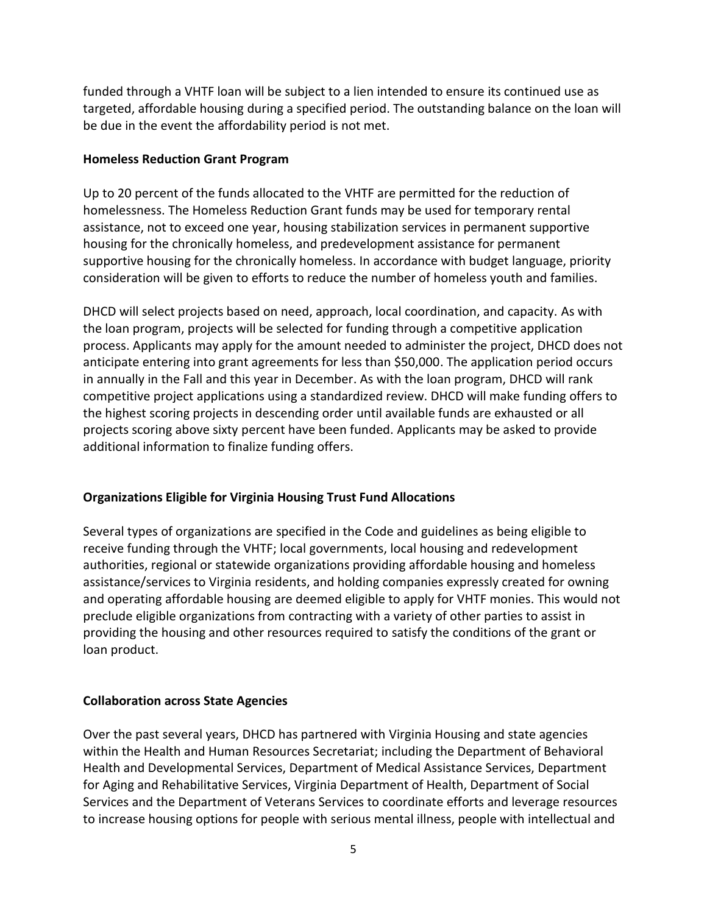funded through a VHTF loan will be subject to a lien intended to ensure its continued use as targeted, affordable housing during a specified period. The outstanding balance on the loan will be due in the event the affordability period is not met.

#### **Homeless Reduction Grant Program**

Up to 20 percent of the funds allocated to the VHTF are permitted for the reduction of homelessness. The Homeless Reduction Grant funds may be used for temporary rental assistance, not to exceed one year, housing stabilization services in permanent supportive housing for the chronically homeless, and predevelopment assistance for permanent supportive housing for the chronically homeless. In accordance with budget language, priority consideration will be given to efforts to reduce the number of homeless youth and families.

DHCD will select projects based on need, approach, local coordination, and capacity. As with the loan program, projects will be selected for funding through a competitive application process. Applicants may apply for the amount needed to administer the project, DHCD does not anticipate entering into grant agreements for less than \$50,000. The application period occurs in annually in the Fall and this year in December. As with the loan program, DHCD will rank competitive project applications using a standardized review. DHCD will make funding offers to the highest scoring projects in descending order until available funds are exhausted or all projects scoring above sixty percent have been funded. Applicants may be asked to provide additional information to finalize funding offers.

## **Organizations Eligible for Virginia Housing Trust Fund Allocations**

Several types of organizations are specified in the Code and guidelines as being eligible to receive funding through the VHTF; local governments, local housing and redevelopment authorities, regional or statewide organizations providing affordable housing and homeless assistance/services to Virginia residents, and holding companies expressly created for owning and operating affordable housing are deemed eligible to apply for VHTF monies. This would not preclude eligible organizations from contracting with a variety of other parties to assist in providing the housing and other resources required to satisfy the conditions of the grant or loan product.

## **Collaboration across State Agencies**

Over the past several years, DHCD has partnered with Virginia Housing and state agencies within the Health and Human Resources Secretariat; including the Department of Behavioral Health and Developmental Services, Department of Medical Assistance Services, Department for Aging and Rehabilitative Services, Virginia Department of Health, Department of Social Services and the Department of Veterans Services to coordinate efforts and leverage resources to increase housing options for people with serious mental illness, people with intellectual and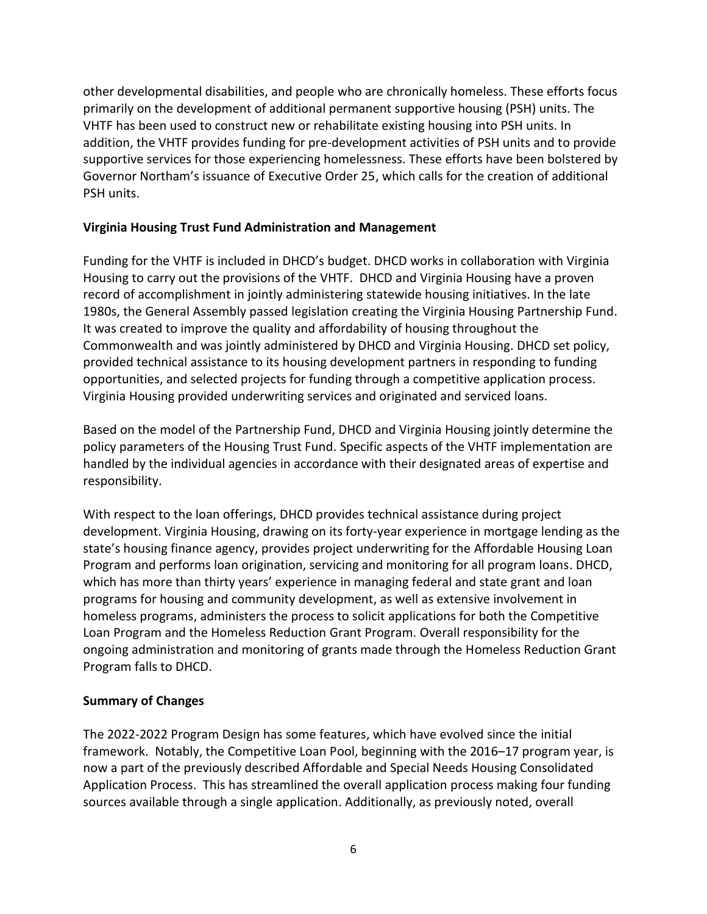other developmental disabilities, and people who are chronically homeless. These efforts focus primarily on the development of additional permanent supportive housing (PSH) units. The VHTF has been used to construct new or rehabilitate existing housing into PSH units. In addition, the VHTF provides funding for pre-development activities of PSH units and to provide supportive services for those experiencing homelessness. These efforts have been bolstered by Governor Northam's issuance of Executive Order 25, which calls for the creation of additional PSH units.

#### **Virginia Housing Trust Fund Administration and Management**

Funding for the VHTF is included in DHCD's budget. DHCD works in collaboration with Virginia Housing to carry out the provisions of the VHTF. DHCD and Virginia Housing have a proven record of accomplishment in jointly administering statewide housing initiatives. In the late 1980s, the General Assembly passed legislation creating the Virginia Housing Partnership Fund. It was created to improve the quality and affordability of housing throughout the Commonwealth and was jointly administered by DHCD and Virginia Housing. DHCD set policy, provided technical assistance to its housing development partners in responding to funding opportunities, and selected projects for funding through a competitive application process. Virginia Housing provided underwriting services and originated and serviced loans.

Based on the model of the Partnership Fund, DHCD and Virginia Housing jointly determine the policy parameters of the Housing Trust Fund. Specific aspects of the VHTF implementation are handled by the individual agencies in accordance with their designated areas of expertise and responsibility.

With respect to the loan offerings, DHCD provides technical assistance during project development. Virginia Housing, drawing on its forty-year experience in mortgage lending as the state's housing finance agency, provides project underwriting for the Affordable Housing Loan Program and performs loan origination, servicing and monitoring for all program loans. DHCD, which has more than thirty years' experience in managing federal and state grant and loan programs for housing and community development, as well as extensive involvement in homeless programs, administers the process to solicit applications for both the Competitive Loan Program and the Homeless Reduction Grant Program. Overall responsibility for the ongoing administration and monitoring of grants made through the Homeless Reduction Grant Program falls to DHCD.

## **Summary of Changes**

The 2022-2022 Program Design has some features, which have evolved since the initial framework. Notably, the Competitive Loan Pool, beginning with the 2016–17 program year, is now a part of the previously described Affordable and Special Needs Housing Consolidated Application Process. This has streamlined the overall application process making four funding sources available through a single application. Additionally, as previously noted, overall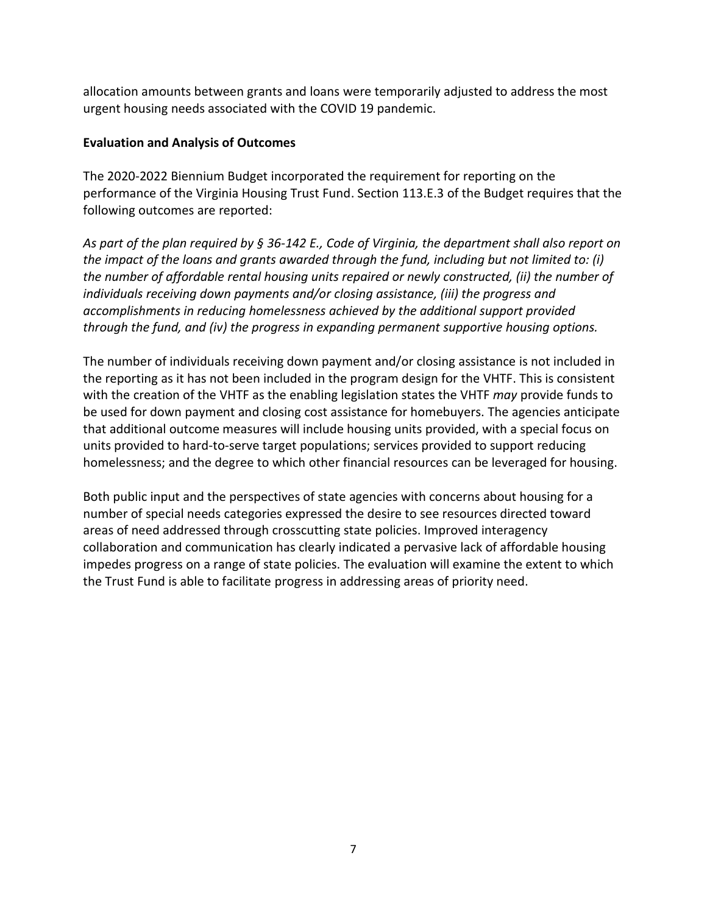allocation amounts between grants and loans were temporarily adjusted to address the most urgent housing needs associated with the COVID 19 pandemic.

#### **Evaluation and Analysis of Outcomes**

The 2020-2022 Biennium Budget incorporated the requirement for reporting on the performance of the Virginia Housing Trust Fund. Section 113.E.3 of the Budget requires that the following outcomes are reported:

*As part of the plan required by § [36-142](http://law.lis.virginia.gov/vacode/36-142/) E., Code of Virginia, the department shall also report on the impact of the loans and grants awarded through the fund, including but not limited to: (i) the number of affordable rental housing units repaired or newly constructed, (ii) the number of individuals receiving down payments and/or closing assistance, (iii) the progress and accomplishments in reducing homelessness achieved by the additional support provided through the fund, and (iv) the progress in expanding permanent supportive housing options.*

The number of individuals receiving down payment and/or closing assistance is not included in the reporting as it has not been included in the program design for the VHTF. This is consistent with the creation of the VHTF as the enabling legislation states the VHTF *may* provide funds to be used for down payment and closing cost assistance for homebuyers. The agencies anticipate that additional outcome measures will include housing units provided, with a special focus on units provided to hard-to-serve target populations; services provided to support reducing homelessness; and the degree to which other financial resources can be leveraged for housing.

Both public input and the perspectives of state agencies with concerns about housing for a number of special needs categories expressed the desire to see resources directed toward areas of need addressed through crosscutting state policies. Improved interagency collaboration and communication has clearly indicated a pervasive lack of affordable housing impedes progress on a range of state policies. The evaluation will examine the extent to which the Trust Fund is able to facilitate progress in addressing areas of priority need.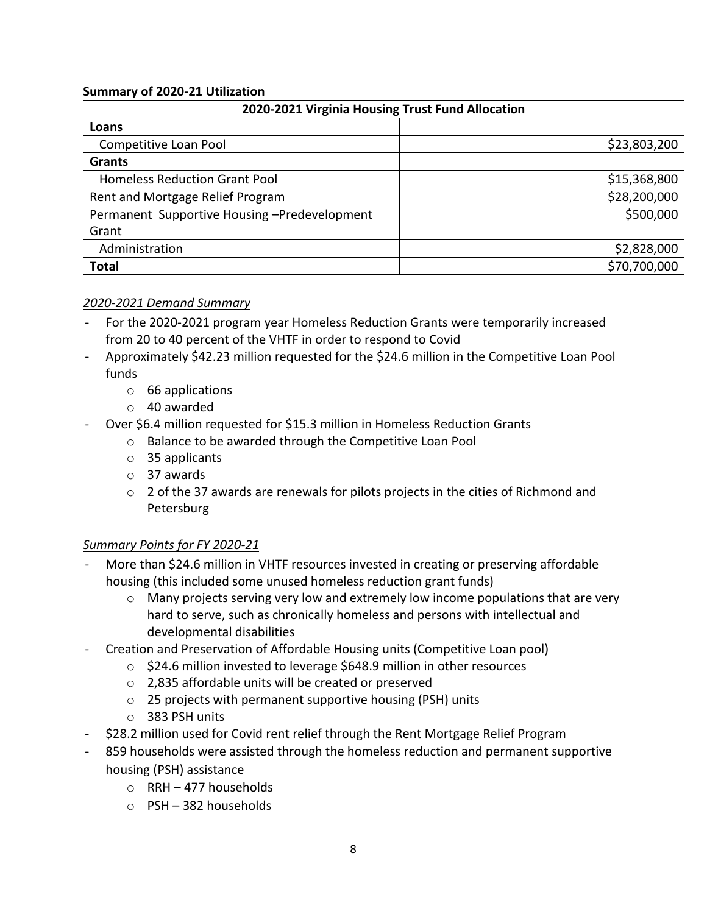#### **Summary of 2020-21 Utilization**

| 2020-2021 Virginia Housing Trust Fund Allocation |              |  |  |
|--------------------------------------------------|--------------|--|--|
| Loans                                            |              |  |  |
| Competitive Loan Pool                            | \$23,803,200 |  |  |
| <b>Grants</b>                                    |              |  |  |
| Homeless Reduction Grant Pool                    | \$15,368,800 |  |  |
| Rent and Mortgage Relief Program                 | \$28,200,000 |  |  |
| Permanent Supportive Housing-Predevelopment      | \$500,000    |  |  |
| Grant                                            |              |  |  |
| Administration                                   | \$2,828,000  |  |  |
| <b>Total</b>                                     | \$70,700,000 |  |  |

#### *2020-2021 Demand Summary*

- For the 2020-2021 program year Homeless Reduction Grants were temporarily increased from 20 to 40 percent of the VHTF in order to respond to Covid
- Approximately \$42.23 million requested for the \$24.6 million in the Competitive Loan Pool funds
	- o 66 applications
	- o 40 awarded
- Over \$6.4 million requested for \$15.3 million in Homeless Reduction Grants
	- o Balance to be awarded through the Competitive Loan Pool
	- o 35 applicants
	- o 37 awards
	- o 2 of the 37 awards are renewals for pilots projects in the cities of Richmond and Petersburg

## *Summary Points for FY 2020-21*

- More than \$24.6 million in VHTF resources invested in creating or preserving affordable housing (this included some unused homeless reduction grant funds)
	- o Many projects serving very low and extremely low income populations that are very hard to serve, such as chronically homeless and persons with intellectual and developmental disabilities
- Creation and Preservation of Affordable Housing units (Competitive Loan pool)
	- o \$24.6 million invested to leverage \$648.9 million in other resources
	- o 2,835 affordable units will be created or preserved
	- o 25 projects with permanent supportive housing (PSH) units
	- o 383 PSH units
- \$28.2 million used for Covid rent relief through the Rent Mortgage Relief Program
- 859 households were assisted through the homeless reduction and permanent supportive housing (PSH) assistance
	- o RRH 477 households
	- o PSH 382 households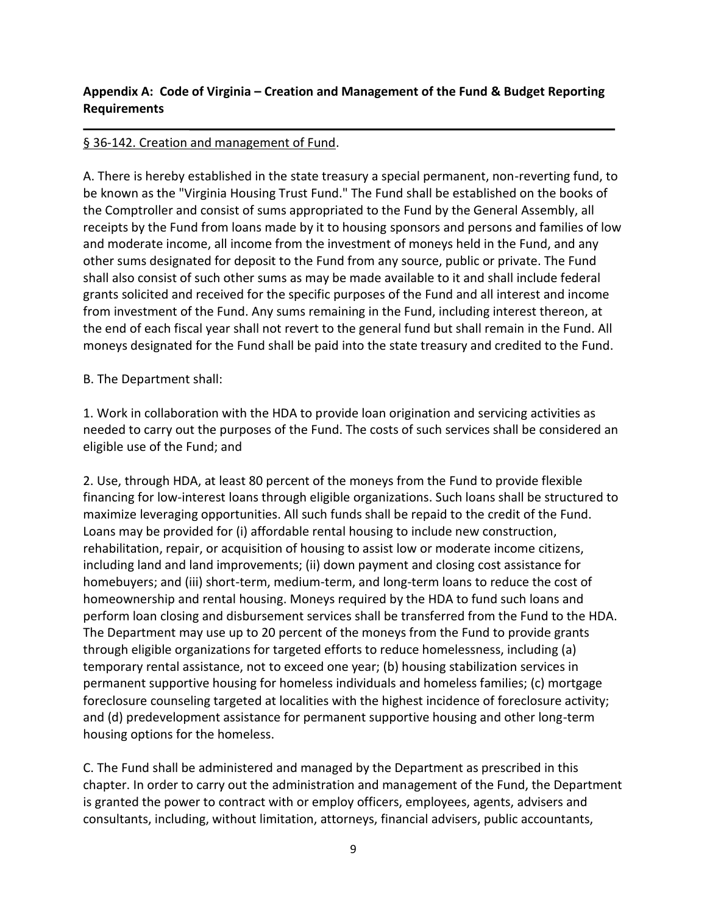# **Appendix A: Code of Virginia – Creation and Management of the Fund & Budget Reporting Requirements**

# § 36-142. Creation and management of Fund.

A. There is hereby established in the state treasury a special permanent, non-reverting fund, to be known as the "Virginia Housing Trust Fund." The Fund shall be established on the books of the Comptroller and consist of sums appropriated to the Fund by the General Assembly, all receipts by the Fund from loans made by it to housing sponsors and persons and families of low and moderate income, all income from the investment of moneys held in the Fund, and any other sums designated for deposit to the Fund from any source, public or private. The Fund shall also consist of such other sums as may be made available to it and shall include federal grants solicited and received for the specific purposes of the Fund and all interest and income from investment of the Fund. Any sums remaining in the Fund, including interest thereon, at the end of each fiscal year shall not revert to the general fund but shall remain in the Fund. All moneys designated for the Fund shall be paid into the state treasury and credited to the Fund.

B. The Department shall:

1. Work in collaboration with the HDA to provide loan origination and servicing activities as needed to carry out the purposes of the Fund. The costs of such services shall be considered an eligible use of the Fund; and

2. Use, through HDA, at least 80 percent of the moneys from the Fund to provide flexible financing for low-interest loans through eligible organizations. Such loans shall be structured to maximize leveraging opportunities. All such funds shall be repaid to the credit of the Fund. Loans may be provided for (i) affordable rental housing to include new construction, rehabilitation, repair, or acquisition of housing to assist low or moderate income citizens, including land and land improvements; (ii) down payment and closing cost assistance for homebuyers; and (iii) short-term, medium-term, and long-term loans to reduce the cost of homeownership and rental housing. Moneys required by the HDA to fund such loans and perform loan closing and disbursement services shall be transferred from the Fund to the HDA. The Department may use up to 20 percent of the moneys from the Fund to provide grants through eligible organizations for targeted efforts to reduce homelessness, including (a) temporary rental assistance, not to exceed one year; (b) housing stabilization services in permanent supportive housing for homeless individuals and homeless families; (c) mortgage foreclosure counseling targeted at localities with the highest incidence of foreclosure activity; and (d) predevelopment assistance for permanent supportive housing and other long-term housing options for the homeless.

C. The Fund shall be administered and managed by the Department as prescribed in this chapter. In order to carry out the administration and management of the Fund, the Department is granted the power to contract with or employ officers, employees, agents, advisers and consultants, including, without limitation, attorneys, financial advisers, public accountants,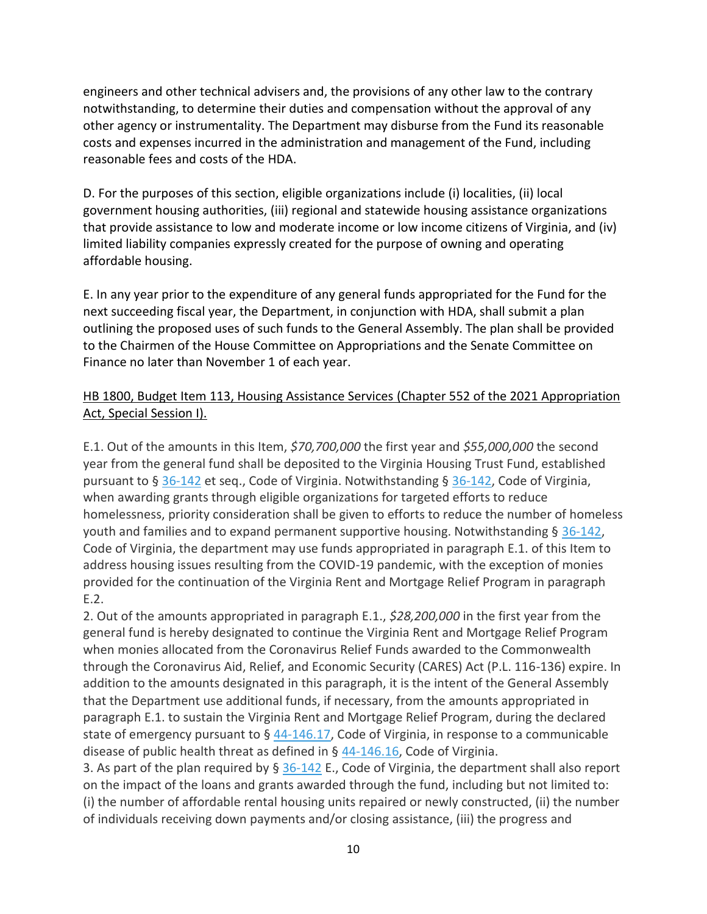engineers and other technical advisers and, the provisions of any other law to the contrary notwithstanding, to determine their duties and compensation without the approval of any other agency or instrumentality. The Department may disburse from the Fund its reasonable costs and expenses incurred in the administration and management of the Fund, including reasonable fees and costs of the HDA.

D. For the purposes of this section, eligible organizations include (i) localities, (ii) local government housing authorities, (iii) regional and statewide housing assistance organizations that provide assistance to low and moderate income or low income citizens of Virginia, and (iv) limited liability companies expressly created for the purpose of owning and operating affordable housing.

E. In any year prior to the expenditure of any general funds appropriated for the Fund for the next succeeding fiscal year, the Department, in conjunction with HDA, shall submit a plan outlining the proposed uses of such funds to the General Assembly. The plan shall be provided to the Chairmen of the House Committee on Appropriations and the Senate Committee on Finance no later than November 1 of each year.

# HB 1800, Budget Item 113, Housing Assistance Services (Chapter 552 of the 2021 Appropriation Act, Special Session I).

E.1. Out of the amounts in this Item, *\$70,700,000* the first year and *\$55,000,000* the second year from the general fund shall be deposited to the Virginia Housing Trust Fund, established pursuant to § [36-142](http://law.lis.virginia.gov/vacode/36-142/) et seq., Code of Virginia. Notwithstanding § [36-142,](http://law.lis.virginia.gov/vacode/36-142/) Code of Virginia, when awarding grants through eligible organizations for targeted efforts to reduce homelessness, priority consideration shall be given to efforts to reduce the number of homeless youth and families and to expand permanent supportive housing. Notwithstanding  $\S 36-142$ , Code of Virginia, the department may use funds appropriated in paragraph E.1. of this Item to address housing issues resulting from the COVID-19 pandemic, with the exception of monies provided for the continuation of the Virginia Rent and Mortgage Relief Program in paragraph E.2.

2. Out of the amounts appropriated in paragraph E.1., *\$28,200,000* in the first year from the general fund is hereby designated to continue the Virginia Rent and Mortgage Relief Program when monies allocated from the Coronavirus Relief Funds awarded to the Commonwealth through the Coronavirus Aid, Relief, and Economic Security (CARES) Act (P.L. 116-136) expire. In addition to the amounts designated in this paragraph, it is the intent of the General Assembly that the Department use additional funds, if necessary, from the amounts appropriated in paragraph E.1. to sustain the Virginia Rent and Mortgage Relief Program, during the declared state of emergency pursuant to § [44-146.17,](http://law.lis.virginia.gov/vacode/44-146.17/) Code of Virginia, in response to a communicable disease of public health threat as defined in § [44-146.16,](http://law.lis.virginia.gov/vacode/44-146.16/) Code of Virginia.

3. As part of the plan required by § [36-142](http://law.lis.virginia.gov/vacode/36-142/) E., Code of Virginia, the department shall also report on the impact of the loans and grants awarded through the fund, including but not limited to: (i) the number of affordable rental housing units repaired or newly constructed, (ii) the number of individuals receiving down payments and/or closing assistance, (iii) the progress and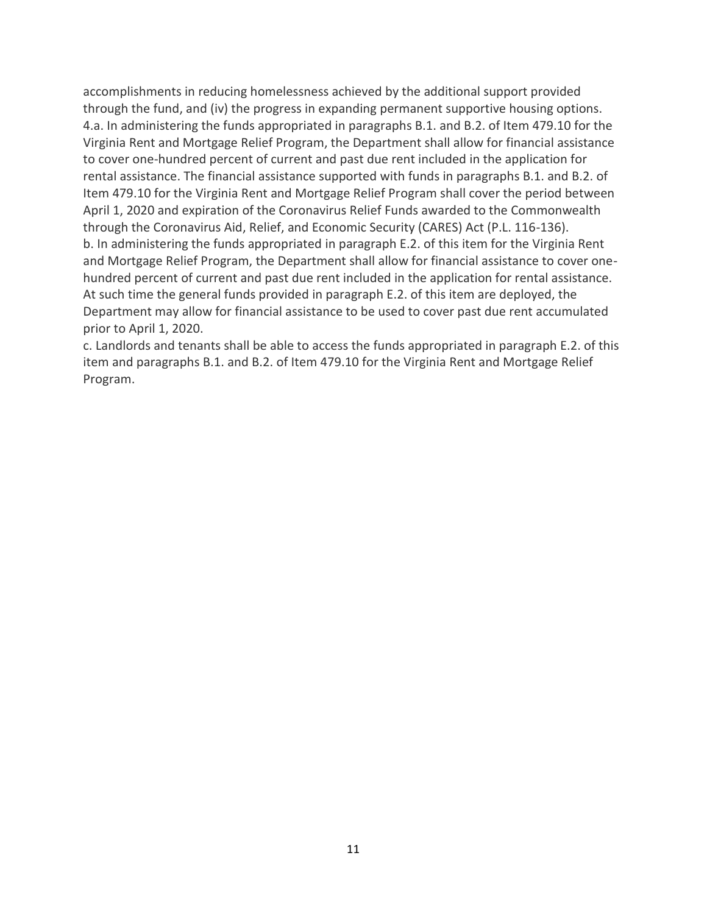accomplishments in reducing homelessness achieved by the additional support provided through the fund, and (iv) the progress in expanding permanent supportive housing options. 4.a. In administering the funds appropriated in paragraphs B.1. and B.2. of Item 479.10 for the Virginia Rent and Mortgage Relief Program, the Department shall allow for financial assistance to cover one-hundred percent of current and past due rent included in the application for rental assistance. The financial assistance supported with funds in paragraphs B.1. and B.2. of Item 479.10 for the Virginia Rent and Mortgage Relief Program shall cover the period between April 1, 2020 and expiration of the Coronavirus Relief Funds awarded to the Commonwealth through the Coronavirus Aid, Relief, and Economic Security (CARES) Act (P.L. 116-136). b. In administering the funds appropriated in paragraph E.2. of this item for the Virginia Rent and Mortgage Relief Program, the Department shall allow for financial assistance to cover onehundred percent of current and past due rent included in the application for rental assistance. At such time the general funds provided in paragraph E.2. of this item are deployed, the Department may allow for financial assistance to be used to cover past due rent accumulated prior to April 1, 2020.

c. Landlords and tenants shall be able to access the funds appropriated in paragraph E.2. of this item and paragraphs B.1. and B.2. of Item 479.10 for the Virginia Rent and Mortgage Relief Program.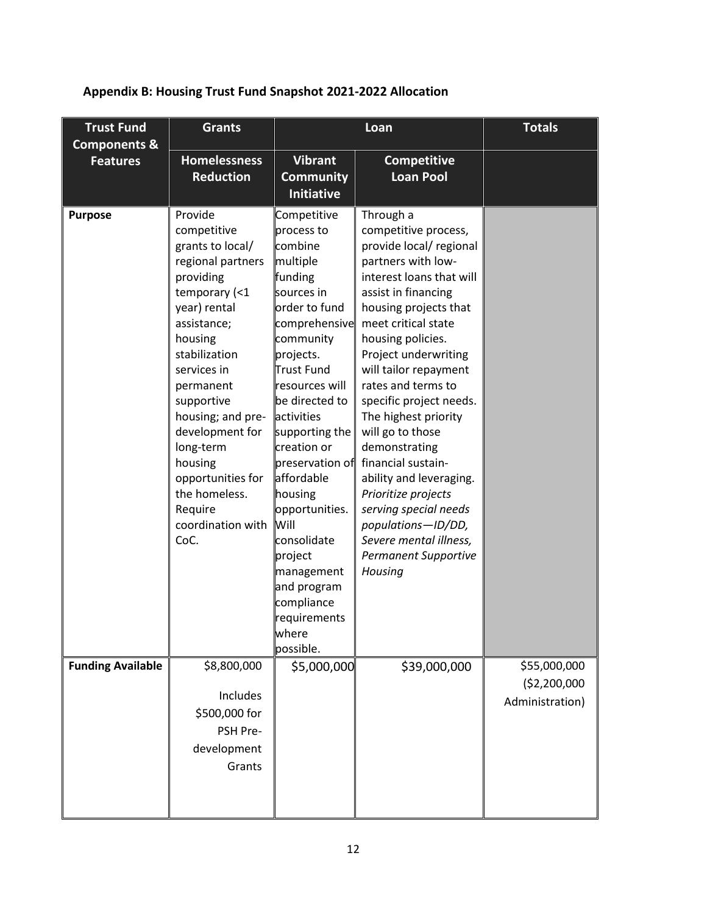| <b>Trust Fund</b><br><b>Grants</b><br><b>Components &amp;</b> |                                                                                                                                                                                                                                                                                                                                                  | Loan                                                                                                                                                                                                                                                                                                                                                                                                                           |                                                                                                                                                                                                                                                                                                                                                                                                                                                                                                                                                                      | <b>Totals</b>                |
|---------------------------------------------------------------|--------------------------------------------------------------------------------------------------------------------------------------------------------------------------------------------------------------------------------------------------------------------------------------------------------------------------------------------------|--------------------------------------------------------------------------------------------------------------------------------------------------------------------------------------------------------------------------------------------------------------------------------------------------------------------------------------------------------------------------------------------------------------------------------|----------------------------------------------------------------------------------------------------------------------------------------------------------------------------------------------------------------------------------------------------------------------------------------------------------------------------------------------------------------------------------------------------------------------------------------------------------------------------------------------------------------------------------------------------------------------|------------------------------|
| <b>Features</b>                                               | <b>Homelessness</b><br><b>Reduction</b>                                                                                                                                                                                                                                                                                                          | <b>Vibrant</b><br><b>Community</b><br><b>Initiative</b>                                                                                                                                                                                                                                                                                                                                                                        | <b>Competitive</b><br><b>Loan Pool</b>                                                                                                                                                                                                                                                                                                                                                                                                                                                                                                                               |                              |
| <b>Purpose</b>                                                | Provide<br>competitive<br>grants to local/<br>regional partners<br>providing<br>temporary (<1<br>year) rental<br>assistance;<br>housing<br>stabilization<br>services in<br>permanent<br>supportive<br>housing; and pre-<br>development for<br>long-term<br>housing<br>opportunities for<br>the homeless.<br>Require<br>coordination with<br>CoC. | Competitive<br>process to<br>combine<br>multiple<br>funding<br>sources in<br>order to fund<br>comprehensive<br>community<br>projects.<br><b>Trust Fund</b><br>resources will<br>be directed to<br>activities<br>supporting the<br>creation or<br>preservation of<br>affordable<br>housing<br>opportunities.<br>Will<br>consolidate<br>project<br>management<br>and program<br>compliance<br>requirements<br>wnere<br>possible. | Through a<br>competitive process,<br>provide local/ regional<br>partners with low-<br>interest loans that will<br>assist in financing<br>housing projects that<br>meet critical state<br>housing policies.<br>Project underwriting<br>will tailor repayment<br>rates and terms to<br>specific project needs.<br>The highest priority<br>will go to those<br>demonstrating<br>financial sustain-<br>ability and leveraging.<br>Prioritize projects<br>serving special needs<br>populations-ID/DD,<br>Severe mental illness,<br><b>Permanent Supportive</b><br>Housing |                              |
| <b>Funding Available</b>                                      | \$8,800,000                                                                                                                                                                                                                                                                                                                                      | \$5,000,000                                                                                                                                                                                                                                                                                                                                                                                                                    | \$39,000,000                                                                                                                                                                                                                                                                                                                                                                                                                                                                                                                                                         | \$55,000,000<br>(\$2,200,000 |
|                                                               | Includes<br>\$500,000 for<br>PSH Pre-<br>development<br>Grants                                                                                                                                                                                                                                                                                   |                                                                                                                                                                                                                                                                                                                                                                                                                                |                                                                                                                                                                                                                                                                                                                                                                                                                                                                                                                                                                      | Administration)              |

# **Appendix B: Housing Trust Fund Snapshot 2021-2022 Allocation**